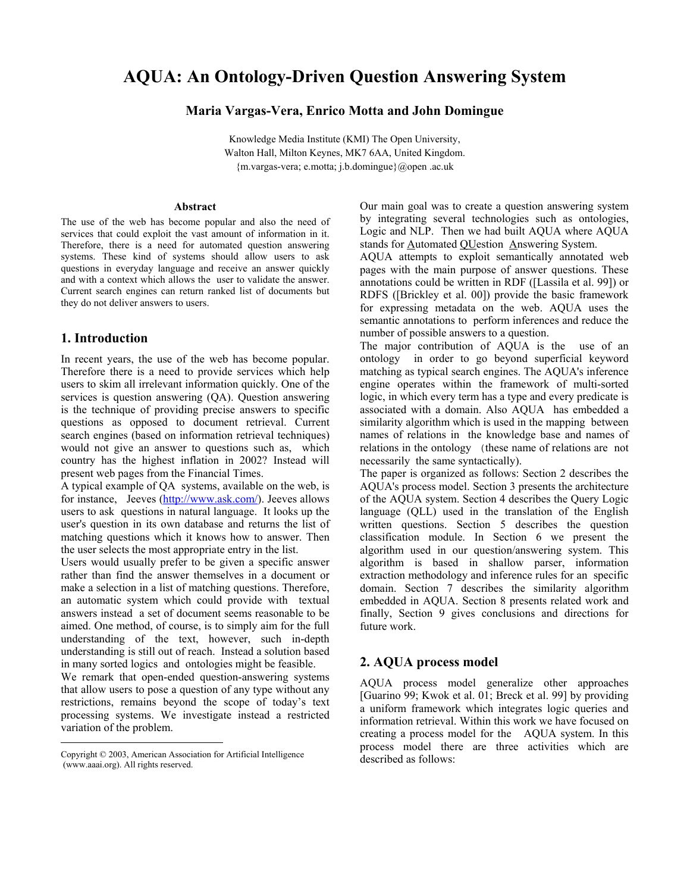# **AQUA: An Ontology-Driven Question Answering System**

#### **Maria Vargas-Vera, Enrico Motta and John Domingue**

Knowledge Media Institute (KMI) The Open University, Walton Hall, Milton Keynes, MK7 6AA, United Kingdom. {m.vargas-vera; e.motta; j.b.domingue}@open .ac.uk

#### **Abstract**

The use of the web has become popular and also the need of services that could exploit the vast amount of information in it. Therefore, there is a need for automated question answering systems. These kind of systems should allow users to ask questions in everyday language and receive an answer quickly and with a context which allows the user to validate the answer. Current search engines can return ranked list of documents but they do not deliver answers to users.

#### **1. Introduction**

 $\overline{a}$ 

In recent years, the use of the web has become popular. Therefore there is a need to provide services which help users to skim all irrelevant information quickly. One of the services is question answering (QA). Question answering is the technique of providing precise answers to specific questions as opposed to document retrieval. Current search engines (based on information retrieval techniques) would not give an answer to questions such as, which country has the highest inflation in 2002? Instead will present web pages from the Financial Times.

A typical example of QA systems, available on the web, is for instance, Jeeves (http://www.ask.com/). Jeeves allows users to ask questions in natural language. It looks up the user's question in its own database and returns the list of matching questions which it knows how to answer. Then the user selects the most appropriate entry in the list.

Users would usually prefer to be given a specific answer rather than find the answer themselves in a document or make a selection in a list of matching questions. Therefore, an automatic system which could provide with textual answers instead a set of document seems reasonable to be aimed. One method, of course, is to simply aim for the full understanding of the text, however, such in-depth understanding is still out of reach. Instead a solution based in many sorted logics and ontologies might be feasible.

We remark that open-ended question-answering systems that allow users to pose a question of any type without any restrictions, remains beyond the scope of today's text processing systems. We investigate instead a restricted variation of the problem.

Our main goal was to create a question answering system by integrating several technologies such as ontologies, Logic and NLP. Then we had built AQUA where AQUA stands for Automated QUestion Answering System.

AQUA attempts to exploit semantically annotated web pages with the main purpose of answer questions. These annotations could be written in RDF ([Lassila et al. 99]) or RDFS ([Brickley et al. 00]) provide the basic framework for expressing metadata on the web. AQUA uses the semantic annotations to perform inferences and reduce the number of possible answers to a question.

The major contribution of AQUA is the use of an ontology in order to go beyond superficial keyword matching as typical search engines. The AQUA's inference engine operates within the framework of multi-sorted logic, in which every term has a type and every predicate is associated with a domain. Also AQUA has embedded a similarity algorithm which is used in the mapping between names of relations in the knowledge base and names of relations in the ontology (these name of relations are not necessarily the same syntactically).

The paper is organized as follows: Section 2 describes the AQUA's process model. Section 3 presents the architecture of the AQUA system. Section 4 describes the Query Logic language (QLL) used in the translation of the English written questions. Section 5 describes the question classification module. In Section 6 we present the algorithm used in our question/answering system. This algorithm is based in shallow parser, information extraction methodology and inference rules for an specific domain. Section 7 describes the similarity algorithm embedded in AQUA. Section 8 presents related work and finally, Section 9 gives conclusions and directions for future work.

#### **2. AQUA process model**

AQUA process model generalize other approaches [Guarino 99; Kwok et al. 01; Breck et al. 99] by providing a uniform framework which integrates logic queries and information retrieval. Within this work we have focused on creating a process model for the AQUA system. In this process model there are three activities which are described as follows:

Copyright © 2003, American Association for Artificial Intelligence (www.aaai.org). All rights reserved.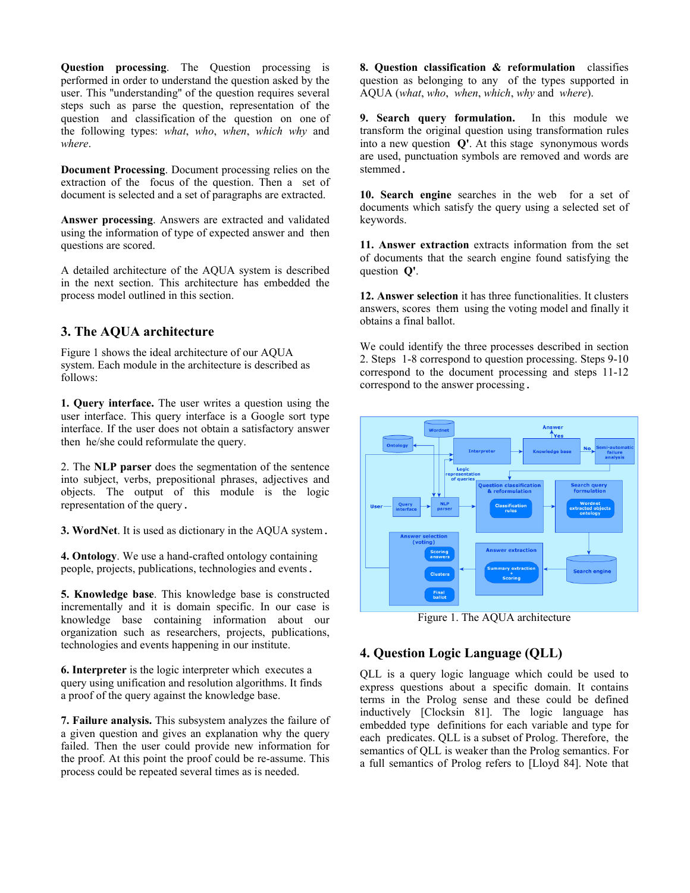**Question processing**. The Question processing is performed in order to understand the question asked by the user. This ''understanding'' of the question requires several steps such as parse the question, representation of the question and classification of the question on one of the following types: *what*, *who*, *when*, *which why* and *where*.

**Document Processing**. Document processing relies on the extraction of the focus of the question. Then a set of document is selected and a set of paragraphs are extracted.

**Answer processing**. Answers are extracted and validated using the information of type of expected answer and then questions are scored.

A detailed architecture of the AQUA system is described in the next section. This architecture has embedded the process model outlined in this section.

### **3. The AQUA architecture**

Figure 1 shows the ideal architecture of our AQUA system. Each module in the architecture is described as follows:

**1. Query interface.** The user writes a question using the user interface. This query interface is a Google sort type interface. If the user does not obtain a satisfactory answer then he/she could reformulate the query.

2. The **NLP parser** does the segmentation of the sentence into subject, verbs, prepositional phrases, adjectives and objects. The output of this module is the logic representation of the query.

**3. WordNet**. It is used as dictionary in the AQUA system.

**4. Ontology**. We use a hand-crafted ontology containing people, projects, publications, technologies and events.

**5. Knowledge base**. This knowledge base is constructed incrementally and it is domain specific. In our case is knowledge base containing information about our organization such as researchers, projects, publications, technologies and events happening in our institute.

**6. Interpreter** is the logic interpreter which executes a query using unification and resolution algorithms. It finds a proof of the query against the knowledge base.

**7. Failure analysis.** This subsystem analyzes the failure of a given question and gives an explanation why the query failed. Then the user could provide new information for the proof. At this point the proof could be re-assume. This process could be repeated several times as is needed.

**8. Question classification & reformulation** classifies question as belonging to any of the types supported in AQUA (*what*, *who*, *when*, *which*, *why* and *where*).

**9. Search query formulation.** In this module we transform the original question using transformation rules into a new question **Q'**. At this stage synonymous words are used, punctuation symbols are removed and words are stemmed.

**10. Search engine** searches in the web for a set of documents which satisfy the query using a selected set of keywords.

**11. Answer extraction** extracts information from the set of documents that the search engine found satisfying the question **Q'**.

**12. Answer selection** it has three functionalities. It clusters answers, scores them using the voting model and finally it obtains a final ballot.

We could identify the three processes described in section 2. Steps 1-8 correspond to question processing. Steps 9-10 correspond to the document processing and steps 11-12 correspond to the answer processing.



Figure 1. The AQUA architecture

## **4. Question Logic Language (QLL)**

QLL is a query logic language which could be used to express questions about a specific domain. It contains terms in the Prolog sense and these could be defined inductively [Clocksin 81]. The logic language has embedded type definitions for each variable and type for each predicates. QLL is a subset of Prolog. Therefore, the semantics of QLL is weaker than the Prolog semantics. For a full semantics of Prolog refers to [Lloyd 84]. Note that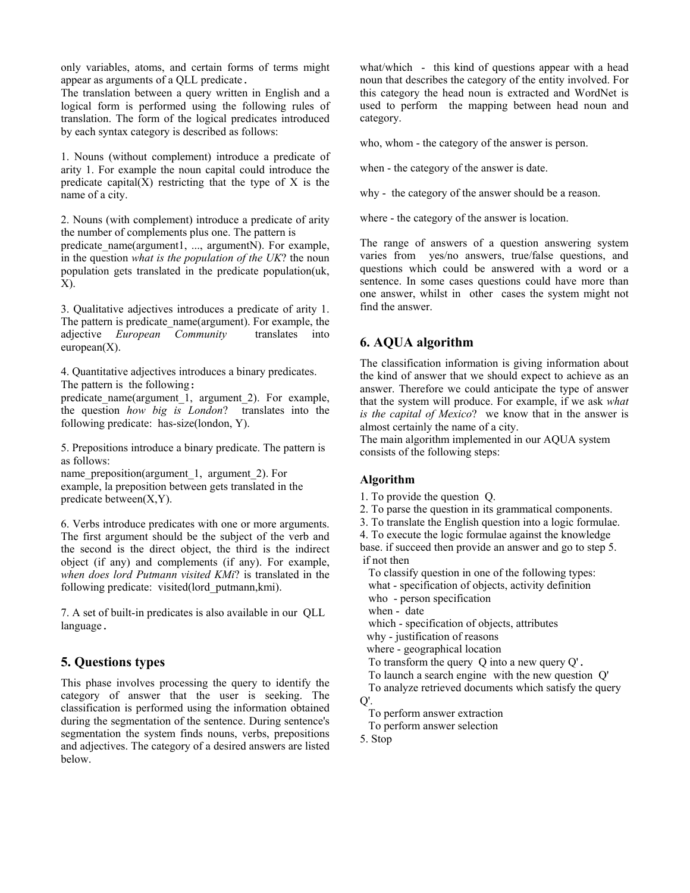only variables, atoms, and certain forms of terms might appear as arguments of a QLL predicate.

The translation between a query written in English and a logical form is performed using the following rules of translation. The form of the logical predicates introduced by each syntax category is described as follows:

1. Nouns (without complement) introduce a predicate of arity 1. For example the noun capital could introduce the predicate capital $(X)$  restricting that the type of X is the name of a city.

2. Nouns (with complement) introduce a predicate of arity the number of complements plus one. The pattern is predicate\_name(argument1, ..., argumentN). For example, in the question *what is the population of the UK*? the noun population gets translated in the predicate population(uk, X).

3. Qualitative adjectives introduces a predicate of arity 1. The pattern is predicate name(argument). For example, the adjective *European Community* translates into  $european(X)$ .

4. Quantitative adjectives introduces a binary predicates. The pattern is the following:

predicate\_name(argument\_1,\_argument\_2). For example, the question *how big is London*? translates into the following predicate: has-size(london, Y).

5. Prepositions introduce a binary predicate. The pattern is as follows:

name\_preposition(argument\_1, argument\_2). For example, la preposition between gets translated in the predicate between(X,Y).

6. Verbs introduce predicates with one or more arguments. The first argument should be the subject of the verb and the second is the direct object, the third is the indirect object (if any) and complements (if any). For example, *when does lord Putmann visited KMi*? is translated in the following predicate: visited(lord\_putmann,kmi).

7. A set of built-in predicates is also available in our QLL language.

#### **5. Questions types**

This phase involves processing the query to identify the category of answer that the user is seeking. The classification is performed using the information obtained during the segmentation of the sentence. During sentence's segmentation the system finds nouns, verbs, prepositions and adjectives. The category of a desired answers are listed below.

what/which - this kind of questions appear with a head noun that describes the category of the entity involved. For this category the head noun is extracted and WordNet is used to perform the mapping between head noun and category.

who, whom - the category of the answer is person.

when - the category of the answer is date.

why - the category of the answer should be a reason.

where - the category of the answer is location.

The range of answers of a question answering system varies from yes/no answers, true/false questions, and questions which could be answered with a word or a sentence. In some cases questions could have more than one answer, whilst in other cases the system might not find the answer.

### **6. AQUA algorithm**

The classification information is giving information about the kind of answer that we should expect to achieve as an answer. Therefore we could anticipate the type of answer that the system will produce. For example, if we ask *what is the capital of Mexico*? we know that in the answer is almost certainly the name of a city.

The main algorithm implemented in our AQUA system consists of the following steps:

#### **Algorithm**

- 1. To provide the question Q.
- 2. To parse the question in its grammatical components.
- 3. To translate the English question into a logic formulae.
- 4. To execute the logic formulae against the knowledge

base. if succeed then provide an answer and go to step 5. if not then

 To classify question in one of the following types: what - specification of objects, activity definition

- who person specification
- when date
- which specification of objects, attributes
- why justification of reasons

where - geographical location

- To transform the query Q into a new query Q'.
- To launch a search engine with the new question Q'
- To analyze retrieved documents which satisfy the query  $O'.$ 
	- To perform answer extraction
	- To perform answer selection
- 5. Stop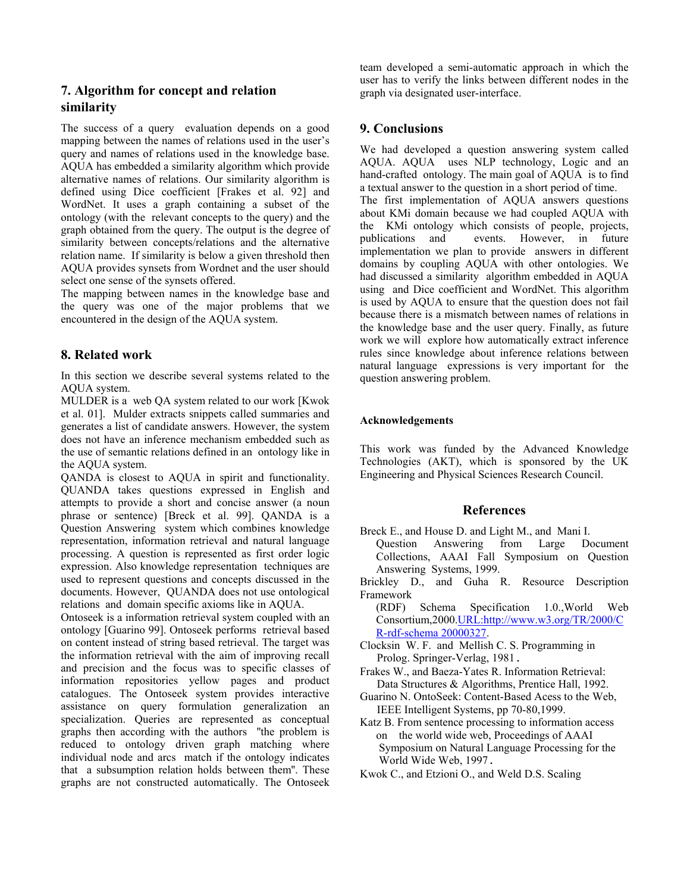# **7. Algorithm for concept and relation similarity**

The success of a query evaluation depends on a good mapping between the names of relations used in the user's query and names of relations used in the knowledge base. AQUA has embedded a similarity algorithm which provide alternative names of relations. Our similarity algorithm is defined using Dice coefficient [Frakes et al. 92] and WordNet. It uses a graph containing a subset of the ontology (with the relevant concepts to the query) and the graph obtained from the query. The output is the degree of similarity between concepts/relations and the alternative relation name. If similarity is below a given threshold then AQUA provides synsets from Wordnet and the user should select one sense of the synsets offered.

The mapping between names in the knowledge base and the query was one of the major problems that we encountered in the design of the AQUA system.

### **8. Related work**

In this section we describe several systems related to the AQUA system.

MULDER is a web QA system related to our work [Kwok et al. 01]. Mulder extracts snippets called summaries and generates a list of candidate answers. However, the system does not have an inference mechanism embedded such as the use of semantic relations defined in an ontology like in the AQUA system.

QANDA is closest to AQUA in spirit and functionality. QUANDA takes questions expressed in English and attempts to provide a short and concise answer (a noun phrase or sentence) [Breck et al. 99]. QANDA is a Question Answering system which combines knowledge representation, information retrieval and natural language processing. A question is represented as first order logic expression. Also knowledge representation techniques are used to represent questions and concepts discussed in the documents. However, QUANDA does not use ontological relations and domain specific axioms like in AQUA.

Ontoseek is a information retrieval system coupled with an ontology [Guarino 99]. Ontoseek performs retrieval based on content instead of string based retrieval. The target was the information retrieval with the aim of improving recall and precision and the focus was to specific classes of information repositories yellow pages and product catalogues. The Ontoseek system provides interactive assistance on query formulation generalization an specialization. Queries are represented as conceptual graphs then according with the authors ''the problem is reduced to ontology driven graph matching where individual node and arcs match if the ontology indicates that a subsumption relation holds between them''. These graphs are not constructed automatically. The Ontoseek team developed a semi-automatic approach in which the user has to verify the links between different nodes in the graph via designated user-interface.

### **9. Conclusions**

We had developed a question answering system called AQUA. AQUA uses NLP technology, Logic and an hand-crafted ontology. The main goal of AQUA is to find a textual answer to the question in a short period of time. The first implementation of AQUA answers questions about KMi domain because we had coupled AQUA with the KMi ontology which consists of people, projects, publications and events. However, in future implementation we plan to provide answers in different domains by coupling AQUA with other ontologies. We had discussed a similarity algorithm embedded in AQUA using and Dice coefficient and WordNet. This algorithm is used by AQUA to ensure that the question does not fail because there is a mismatch between names of relations in the knowledge base and the user query. Finally, as future work we will explore how automatically extract inference rules since knowledge about inference relations between natural language expressions is very important for the question answering problem.

#### **Acknowledgements**

This work was funded by the Advanced Knowledge Technologies (AKT), which is sponsored by the UK Engineering and Physical Sciences Research Council.

### **References**

Breck E., and House D. and Light M., and Mani I.<br>Ouestion Answering from Large Do

- Question Answering from Large Document Collections, AAAI Fall Symposium on Question Answering Systems, 1999.
- Brickley D., and Guha R. Resource Description Framework

(RDF) Schema Specification 1.0.,World Web Consortium,2000.URL:http://www.w3.org/TR/2000/C R-rdf-schema 20000327.

- Clocksin W. F. and Mellish C. S. Programming in Prolog. Springer-Verlag, 1981.
- Frakes W., and Baeza-Yates R. Information Retrieval: Data Structures & Algorithms, Prentice Hall, 1992.
- Guarino N. OntoSeek: Content-Based Acess to the Web, IEEE Intelligent Systems, pp 70-80,1999.
- Katz B. From sentence processing to information access on the world wide web, Proceedings of AAAI Symposium on Natural Language Processing for the World Wide Web, 1997.
- Kwok C., and Etzioni O., and Weld D.S. Scaling